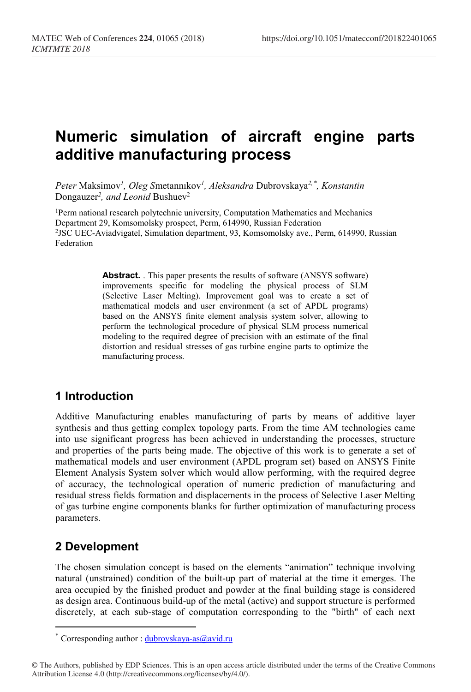# **Numeric simulation of aircraft engine parts additive manufacturing process**

*Peter* Maksimov*<sup>1</sup> , Oleg S*metannıkov*<sup>1</sup> , Aleksandra* Dubrovskaya*2,[\\*](#page-0-0) , Konstantin*  Dongauzer*<sup>2</sup> , and Leonid* Bushuev2

1Perm national research polytechnic university, Computation Mathematics and Mechanics Department 29, Komsomolsky prospect, Perm, 614990, Russian Federation <sup>2</sup>JSC UEC-Aviadvigatel, Simulation department, 93, Komsomolsky ave., Perm, 614990, Russian Federation

> Abstract. . This paper presents the results of software (ANSYS software) improvements specific for modeling the physical process of SLM (Selective Laser Melting). Improvement goal was to create a set of mathematical models and user environment (a set of APDL programs) based on the ANSYS finite element analysis system solver, allowing to perform the technological procedure of physical SLM process numerical modeling to the required degree of precision with an estimate of the final distortion and residual stresses of gas turbine engine parts to optimize the manufacturing process.

### **1 Introduction**

Additive Manufacturing enables manufacturing of parts by means of additive layer synthesis and thus getting complex topology parts. From the time AM technologies came into use significant progress has been achieved in understanding the processes, structure and properties of the parts being made. The objective of this work is to generate a set of mathematical models and user environment (APDL program set) based on ANSYS Finite Element Analysis System solver which would allow performing, with the required degree of accuracy, the technological operation of numeric prediction of manufacturing and residual stress fields formation and displacements in the process of Selective Laser Melting of gas turbine engine components blanks for further optimization of manufacturing process parameters.

## **2 Development**

 $\overline{a}$ 

The chosen simulation concept is based on the elements "animation" technique involving natural (unstrained) condition of the built-up part of material at the time it emerges. The area occupied by the finished product and powder at the final building stage is considered as design area. Continuous build-up of the metal (active) and support structure is performed discretely, at each sub-stage of computation corresponding to the "birth" of each next

<sup>\*</sup> Corresponding author : dubrovskaya-as $(\partial_a)$ avid.ru

<span id="page-0-0"></span><sup>©</sup> The Authors, published by EDP Sciences. This is an open access article distributed under the terms of the Creative Commons Attribution License 4.0 (http://creativecommons.org/licenses/by/4.0/).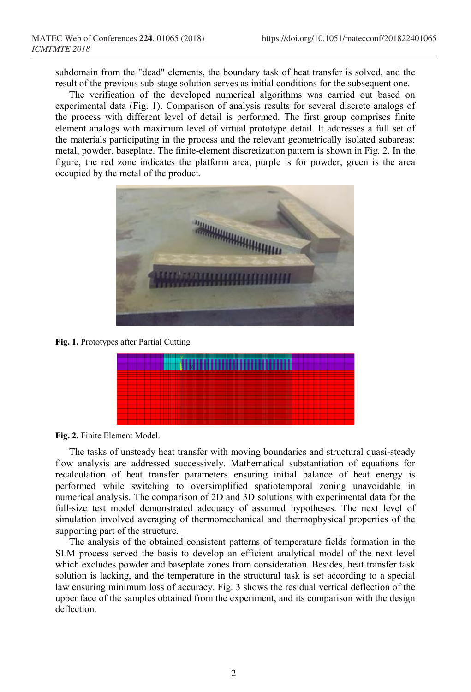subdomain from the "dead" elements, the boundary task of heat transfer is solved, and the result of the previous sub-stage solution serves as initial conditions for the subsequent one.

The verification of the developed numerical algorithms was carried out based on experimental data (Fig. 1). Comparison of analysis results for several discrete analogs of the process with different level of detail is performed. The first group comprises finite element analogs with maximum level of virtual prototype detail. It addresses a full set of the materials participating in the process and the relevant geometrically isolated subareas: metal, powder, baseplate. The finite-element discretization pattern is shown in Fig. 2. In the figure, the red zone indicates the platform area, purple is for powder, green is the area occupied by the metal of the product.



**Fig. 1.** Prototypes after Partial Cutting

**Fig. 2.** Finite Element Model.

The tasks of unsteady heat transfer with moving boundaries and structural quasi-steady flow analysis are addressed successively. Mathematical substantiation of equations for recalculation of heat transfer parameters ensuring initial balance of heat energy is performed while switching to oversimplified spatiotemporal zoning unavoidable in numerical analysis. The comparison of 2D and 3D solutions with experimental data for the full-size test model demonstrated adequacy of assumed hypotheses. The next level of simulation involved averaging of thermomechanical and thermophysical properties of the supporting part of the structure.

The analysis of the obtained consistent patterns of temperature fields formation in the SLM process served the basis to develop an efficient analytical model of the next level which excludes powder and baseplate zones from consideration. Besides, heat transfer task solution is lacking, and the temperature in the structural task is set according to a special law ensuring minimum loss of accuracy. Fig. 3 shows the residual vertical deflection of the upper face of the samples obtained from the experiment, and its comparison with the design deflection.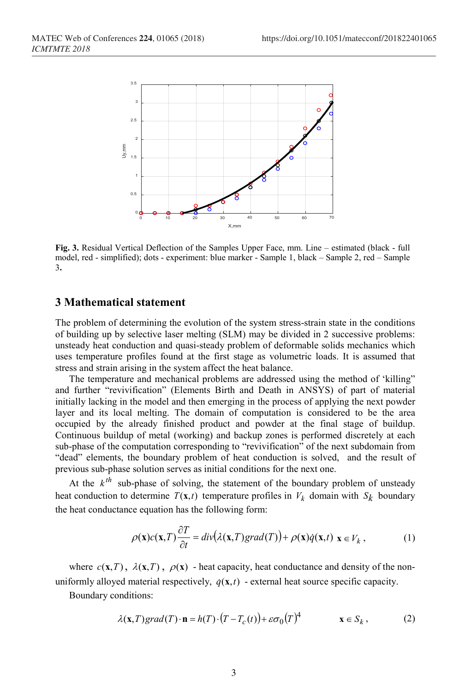

**Fig. 3.** Residual Vertical Deflection of the Samples Upper Face, mm. Line – estimated (black - full model, red - simplified); dots - experiment: blue marker - Sample 1, black – Sample 2, red – Sample 3**.**

#### **3 Mathematical statement**

The problem of determining the evolution of the system stress-strain state in the conditions of building up by selective laser melting (SLM) may be divided in 2 successive problems: unsteady heat conduction and quasi-steady problem of deformable solids mechanics which uses temperature profiles found at the first stage as volumetric loads. It is assumed that stress and strain arising in the system affect the heat balance.

The temperature and mechanical problems are addressed using the method of 'killing" and further "revivification" (Elements Birth and Death in ANSYS) of part of material initially lacking in the model and then emerging in the process of applying the next powder layer and its local melting. The domain of computation is considered to be the area occupied by the already finished product and powder at the final stage of buildup. Continuous buildup of metal (working) and backup zones is performed discretely at each sub-phase of the computation corresponding to "revivification" of the next subdomain from "dead" elements, the boundary problem of heat conduction is solved, and the result of previous sub-phase solution serves as initial conditions for the next one.

At the  $k^{th}$  sub-phase of solving, the statement of the boundary problem of unsteady heat conduction to determine  $T(\mathbf{x},t)$  temperature profiles in  $V_k$  domain with  $S_k$  boundary the heat conductance equation has the following form:

$$
\rho(\mathbf{x})c(\mathbf{x},T)\frac{\partial T}{\partial t} = div(\lambda(\mathbf{x},T)grad(T)) + \rho(\mathbf{x})q(\mathbf{x},t) \mathbf{x} \in V_k,
$$
\n(1)

where  $c(\mathbf{x},T)$ ,  $\lambda(\mathbf{x},T)$ ,  $\rho(\mathbf{x})$  - heat capacity, heat conductance and density of the nonuniformly alloyed material respectively,  $q(x,t)$  - external heat source specific capacity.

Boundary conditions:

$$
\lambda(\mathbf{x}, T) \operatorname{grad}(T) \cdot \mathbf{n} = h(T) \cdot (T - T_c(t)) + \varepsilon \sigma_0(T)^4 \qquad \mathbf{x} \in S_k,
$$
 (2)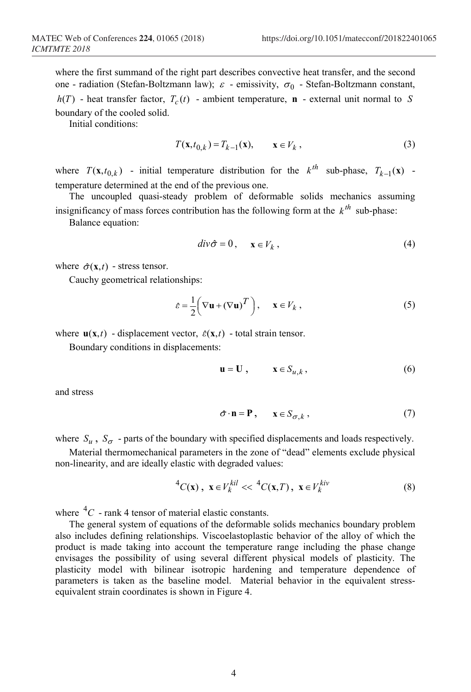where the first summand of the right part describes convective heat transfer, and the second one - radiation (Stefan-Boltzmann law);  $\varepsilon$  - emissivity,  $\sigma_0$  - Stefan-Boltzmann constant,  $h(T)$  - heat transfer factor,  $T_c(t)$  - ambient temperature, **n** - external unit normal to *S* boundary of the cooled solid.

Initial conditions:

$$
T(\mathbf{x}, t_{0,k}) = T_{k-1}(\mathbf{x}), \qquad \mathbf{x} \in V_k,
$$
\n(3)

where  $T(\mathbf{x}, t_{0,k})$  - initial temperature distribution for the  $k^{th}$  sub-phase,  $T_{k-1}(\mathbf{x})$  temperature determined at the end of the previous one.

The uncoupled quasi-steady problem of deformable solids mechanics assuming insignificancy of mass forces contribution has the following form at the  $k^{th}$  sub-phase:

Balance equation:

$$
div\hat{\sigma} = 0, \quad \mathbf{x} \in V_k , \tag{4}
$$

where  $\hat{\sigma}(\mathbf{x},t)$  - stress tensor.

Cauchy geometrical relationships:

$$
\varepsilon = \frac{1}{2} \left( \nabla \mathbf{u} + (\nabla \mathbf{u})^T \right), \quad \mathbf{x} \in V_k,
$$
\n(5)

where  $\mathbf{u}(\mathbf{x},t)$  - displacement vector,  $\mathcal{E}(\mathbf{x},t)$  - total strain tensor.

Boundary conditions in displacements:

$$
\mathbf{u} = \mathbf{U} \;, \qquad \mathbf{x} \in S_{u,k} \;, \tag{6}
$$

and stress

$$
\hat{\sigma} \cdot \mathbf{n} = \mathbf{P}, \qquad \mathbf{x} \in S_{\sigma, k} \,, \tag{7}
$$

where  $S_u$ ,  $S_{\sigma}$  - parts of the boundary with specified displacements and loads respectively.

Material thermomechanical parameters in the zone of "dead" elements exclude physical non-linearity, and are ideally elastic with degraded values:

$$
{}^{4}C(\mathbf{x}), \ \mathbf{x} \in V_k^{kil} \ll {}^{4}C(\mathbf{x}, T), \ \mathbf{x} \in V_k^{kiv}
$$

where  ${}^{4}C$  - rank 4 tensor of material elastic constants.

The general system of equations of the deformable solids mechanics boundary problem also includes defining relationships. Viscoelastoplastic behavior of the alloy of which the product is made taking into account the temperature range including the phase change envisages the possibility of using several different physical models of plasticity. The plasticity model with bilinear isotropic hardening and temperature dependence of parameters is taken as the baseline model. Material behavior in the equivalent stressequivalent strain coordinates is shown in Figure 4.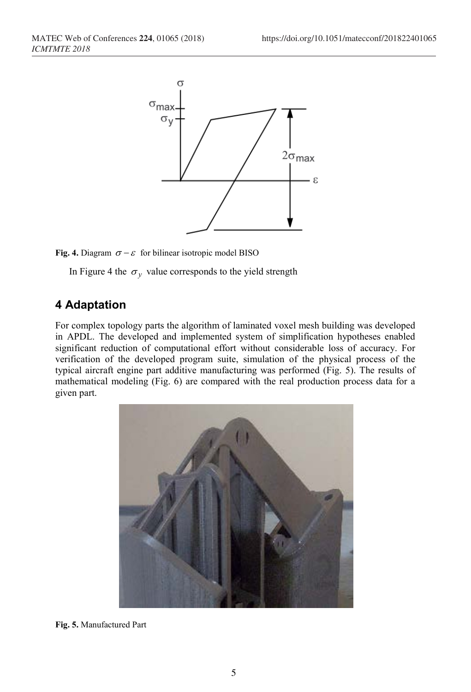



In Figure 4 the  $\sigma_v$  value corresponds to the yield strength

### **4 Adaptation**

For complex topology parts the algorithm of laminated voxel mesh building was developed in APDL. The developed and implemented system of simplification hypotheses enabled significant reduction of computational effort without considerable loss of accuracy. For verification of the developed program suite, simulation of the physical process of the typical aircraft engine part additive manufacturing was performed (Fig. 5). The results of mathematical modeling (Fig. 6) are compared with the real production process data for a given part.



**Fig. 5.** Manufactured Part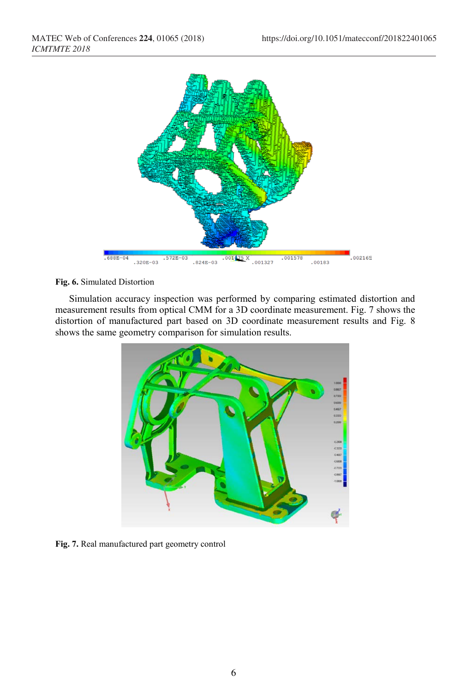

#### **Fig. 6.** Simulated Distortion

Simulation accuracy inspection was performed by comparing estimated distortion and measurement results from optical CMM for a 3D coordinate measurement. Fig. 7 shows the distortion of manufactured part based on 3D coordinate measurement results and Fig. 8 shows the same geometry comparison for simulation results.



**Fig. 7.** Real manufactured part geometry control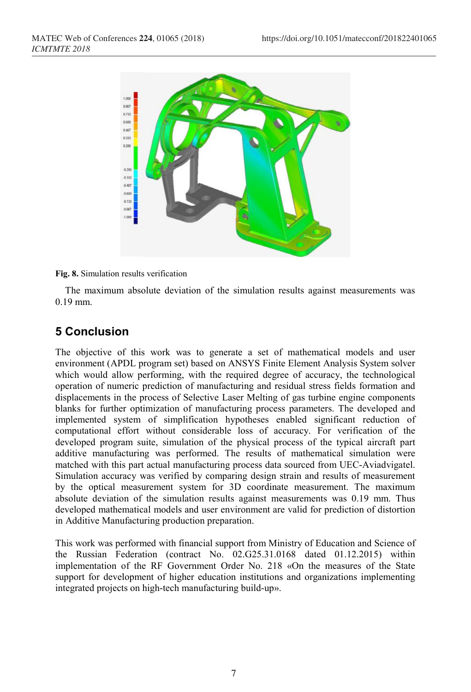

#### **Fig. 8.** Simulation results verification

The maximum absolute deviation of the simulation results against measurements was 0.19 mm.

### **5 Conclusion**

The objective of this work was to generate a set of mathematical models and user environment (APDL program set) based on ANSYS Finite Element Analysis System solver which would allow performing, with the required degree of accuracy, the technological operation of numeric prediction of manufacturing and residual stress fields formation and displacements in the process of Selective Laser Melting of gas turbine engine components blanks for further optimization of manufacturing process parameters. The developed and implemented system of simplification hypotheses enabled significant reduction of computational effort without considerable loss of accuracy. For verification of the developed program suite, simulation of the physical process of the typical aircraft part additive manufacturing was performed. The results of mathematical simulation were matched with this part actual manufacturing process data sourced from UEC-Aviadvigatel. Simulation accuracy was verified by comparing design strain and results of measurement by the optical measurement system for 3D coordinate measurement. The maximum absolute deviation of the simulation results against measurements was 0.19 mm. Thus developed mathematical models and user environment are valid for prediction of distortion in Additive Manufacturing production preparation.

This work was performed with financial support from Ministry of Education and Science of the Russian Federation (contract No. 02.G25.31.0168 dated 01.12.2015) within implementation of the RF Government Order No. 218 «On the measures of the State support for development of higher education institutions and organizations implementing integrated projects on high-tech manufacturing build-up».